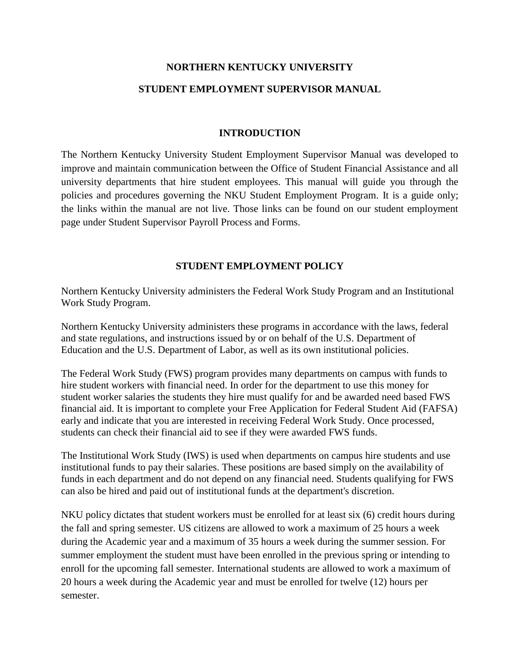# **NORTHERN KENTUCKY UNIVERSITY STUDENT EMPLOYMENT SUPERVISOR MANUAL**

## **INTRODUCTION**

The Northern Kentucky University Student Employment Supervisor Manual was developed to improve and maintain communication between the Office of Student Financial Assistance and all university departments that hire student employees. This manual will guide you through the policies and procedures governing the NKU Student Employment Program. It is a guide only; the links within the manual are not live. Those links can be found on our student employment page under Student Supervisor Payroll Process and Forms.

## **STUDENT EMPLOYMENT POLICY**

Northern Kentucky University administers the Federal Work Study Program and an Institutional Work Study Program.

Northern Kentucky University administers these programs in accordance with the laws, federal and state regulations, and instructions issued by or on behalf of the U.S. Department of Education and the U.S. Department of Labor, as well as its own institutional policies.

The Federal Work Study (FWS) program provides many departments on campus with funds to hire student workers with financial need. In order for the department to use this money for student worker salaries the students they hire must qualify for and be awarded need based FWS financial aid. It is important to complete your Free Application for Federal Student Aid (FAFSA) early and indicate that you are interested in receiving Federal Work Study. Once processed, students can check their financial aid to see if they were awarded FWS funds.

The Institutional Work Study (IWS) is used when departments on campus hire students and use institutional funds to pay their salaries. These positions are based simply on the availability of funds in each department and do not depend on any financial need. Students qualifying for FWS can also be hired and paid out of institutional funds at the department's discretion.

NKU policy dictates that student workers must be enrolled for at least six (6) credit hours during the fall and spring semester. US citizens are allowed to work a maximum of 25 hours a week during the Academic year and a maximum of 35 hours a week during the summer session. For summer employment the student must have been enrolled in the previous spring or intending to enroll for the upcoming fall semester. International students are allowed to work a maximum of 20 hours a week during the Academic year and must be enrolled for twelve (12) hours per semester.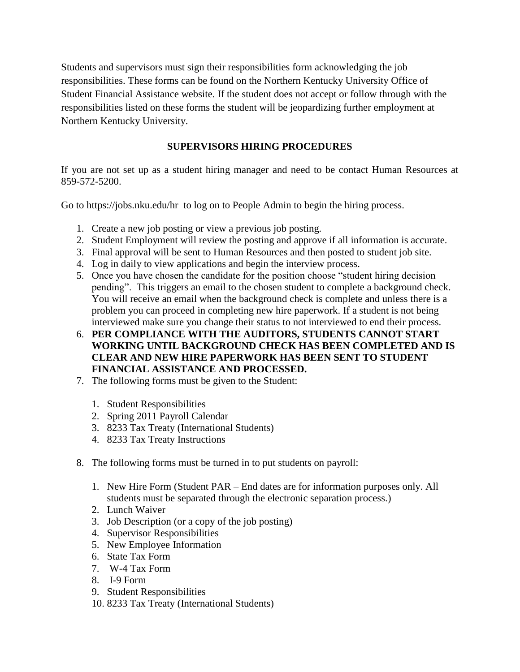Students and supervisors must sign their responsibilities form acknowledging the job responsibilities. These forms can be found on the Northern Kentucky University Office of Student Financial Assistance website. If the student does not accept or follow through with the responsibilities listed on these forms the student will be jeopardizing further employment at Northern Kentucky University.

## **SUPERVISORS HIRING PROCEDURES**

If you are not set up as a student hiring manager and need to be contact Human Resources at 859-572-5200.

Go to https://jobs.nku.edu/hr to log on to People Admin to begin the hiring process.

- 1. Create a new job posting or view a previous job posting.
- 2. Student Employment will review the posting and approve if all information is accurate.
- 3. Final approval will be sent to Human Resources and then posted to student job site.
- 4. Log in daily to view applications and begin the interview process.
- 5. Once you have chosen the candidate for the position choose "student hiring decision pending". This triggers an email to the chosen student to complete a background check. You will receive an email when the background check is complete and unless there is a problem you can proceed in completing new hire paperwork. If a student is not being interviewed make sure you change their status to not interviewed to end their process.
- 6. **PER COMPLIANCE WITH THE AUDITORS, STUDENTS CANNOT START WORKING UNTIL BACKGROUND CHECK HAS BEEN COMPLETED AND IS CLEAR AND NEW HIRE PAPERWORK HAS BEEN SENT TO STUDENT FINANCIAL ASSISTANCE AND PROCESSED.**
- 7. The following forms must be given to the Student:
	- 1. Student Responsibilities
	- 2. Spring 2011 Payroll Calendar
	- 3. 8233 Tax Treaty (International Students)
	- 4. 8233 Tax Treaty Instructions
- 8. The following forms must be turned in to put students on payroll:
	- 1. New Hire Form (Student PAR End dates are for information purposes only. All students must be separated through the electronic separation process.)
	- 2. Lunch Waiver
	- 3. Job Description (or a copy of the job posting)
	- 4. Supervisor Responsibilities
	- 5. New Employee Information
	- 6. State Tax Form
	- 7. W-4 Tax Form
	- 8. I-9 Form
	- 9. Student Responsibilities
	- 10. 8233 Tax Treaty (International Students)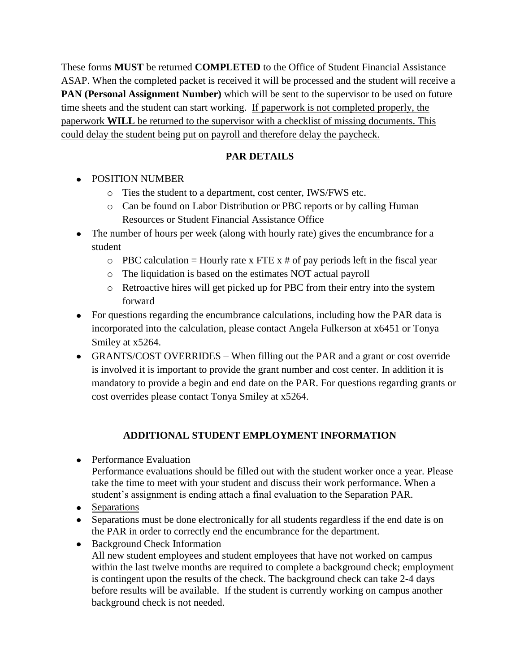These forms **MUST** be returned **COMPLETED** to the Office of Student Financial Assistance ASAP. When the completed packet is received it will be processed and the student will receive a **PAN (Personal Assignment Number)** which will be sent to the supervisor to be used on future time sheets and the student can start working. If paperwork is not completed properly, the paperwork **WILL** be returned to the supervisor with a checklist of missing documents. This could delay the student being put on payroll and therefore delay the paycheck.

## **PAR DETAILS**

- POSITION NUMBER
	- o Ties the student to a department, cost center, IWS/FWS etc.
	- o Can be found on Labor Distribution or PBC reports or by calling Human Resources or Student Financial Assistance Office
- The number of hours per week (along with hourly rate) gives the encumbrance for a student
	- $\circ$  PBC calculation = Hourly rate x FTE x # of pay periods left in the fiscal year
	- o The liquidation is based on the estimates NOT actual payroll
	- o Retroactive hires will get picked up for PBC from their entry into the system forward
- For questions regarding the encumbrance calculations, including how the PAR data is incorporated into the calculation, please contact Angela Fulkerson at x6451 or Tonya Smiley at x5264.
- GRANTS/COST OVERRIDES When filling out the PAR and a grant or cost override is involved it is important to provide the grant number and cost center. In addition it is mandatory to provide a begin and end date on the PAR. For questions regarding grants or cost overrides please contact Tonya Smiley at x5264.

## **ADDITIONAL STUDENT EMPLOYMENT INFORMATION**

• Performance Evaluation

Performance evaluations should be filled out with the student worker once a year. Please take the time to meet with your student and discuss their work performance. When a student's assignment is ending attach a final evaluation to the Separation PAR.

- Separations
- Separations must be done electronically for all students regardless if the end date is on the PAR in order to correctly end the encumbrance for the department.
- Background Check Information All new student employees and student employees that have not worked on campus within the last twelve months are required to complete a background check; employment is contingent upon the results of the check. The background check can take 2-4 days before results will be available. If the student is currently working on campus another background check is not needed.